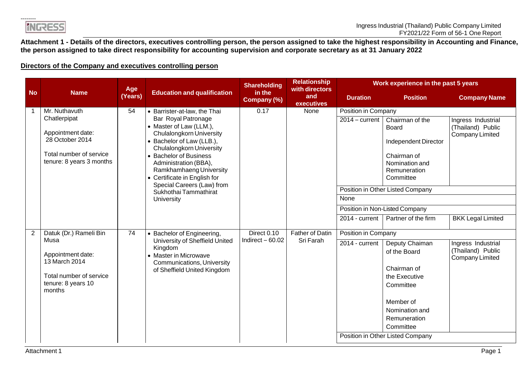**INGRESS** 

**Attachment 1 - Details of the directors, executives controlling person, the person assigned to take the highest responsibility in Accounting and Finance, the person assigned to take direct responsibility for accounting supervision and corporate secretary as at 31 January 2022**

## **Directors of the Company and executives controlling person**

|           |                                                                                                                              | Age     |                                                                                                                                                                                                                                                                                                                                                                             | <b>Shareholding</b>   | <b>Relationship</b><br>with directors |                                                                   | Work experience in the past 5 years                                                                                                                                                                         |                                                                                        |  |  |
|-----------|------------------------------------------------------------------------------------------------------------------------------|---------|-----------------------------------------------------------------------------------------------------------------------------------------------------------------------------------------------------------------------------------------------------------------------------------------------------------------------------------------------------------------------------|-----------------------|---------------------------------------|-------------------------------------------------------------------|-------------------------------------------------------------------------------------------------------------------------------------------------------------------------------------------------------------|----------------------------------------------------------------------------------------|--|--|
| <b>No</b> | <b>Name</b>                                                                                                                  | (Years) | <b>Education and qualification</b>                                                                                                                                                                                                                                                                                                                                          | in the<br>Company (%) | and<br><b>executives</b>              | <b>Duration</b>                                                   | <b>Position</b>                                                                                                                                                                                             | <b>Company Name</b>                                                                    |  |  |
|           | Mr. Nuthavuth<br>Chatlerpipat<br>Appointment date:<br>28 October 2014<br>Total number of service<br>tenure: 8 years 3 months | 54      | • Barrister-at-law, the Thai<br>Bar Royal Patronage<br>• Master of Law (LLM.),<br><b>Chulalongkorn University</b><br>• Bachelor of Law (LLB.),<br><b>Chulalongkorn University</b><br>• Bachelor of Business<br>Administration (BBA),<br>Ramkhamhaeng University<br>• Certificate in English for<br>Special Careers (Law) from<br>Sukhothai Tammathirat<br><b>University</b> | 0.17                  | None                                  | Position in Company<br>$2014 - current$<br>None<br>2014 - current | Chairman of the<br>Board<br>Independent Director<br>Chairman of<br>Nomination and<br>Remuneration<br>Committee<br>Position in Other Listed Company<br>Position in Non-Listed Company<br>Partner of the firm | Ingress Industrial<br>(Thailand) Public<br>Company Limited<br><b>BKK Legal Limited</b> |  |  |
| 2         | Datuk (Dr.) Rameli Bin                                                                                                       | 74      | • Bachelor of Engineering,                                                                                                                                                                                                                                                                                                                                                  | Direct 0.10           | <b>Father of Datin</b>                | Position in Company                                               |                                                                                                                                                                                                             |                                                                                        |  |  |
|           | Musa<br>Appointment date:<br>13 March 2014<br>Total number of service<br>tenure: 8 years 10<br>months                        |         | University of Sheffield United<br>Kingdom<br>• Master in Microwave<br><b>Communications, University</b><br>of Sheffield United Kingdom                                                                                                                                                                                                                                      | Indirect $-60.02$     | Sri Farah                             | 2014 - current                                                    | Deputy Chaiman<br>of the Board<br>Chairman of<br>the Executive<br>Committee<br>Member of<br>Nomination and<br>Remuneration<br>Committee<br>Position in Other Listed Company                                 | Ingress Industrial<br>(Thailand) Public<br>Company Limited                             |  |  |
|           |                                                                                                                              |         |                                                                                                                                                                                                                                                                                                                                                                             |                       |                                       |                                                                   |                                                                                                                                                                                                             |                                                                                        |  |  |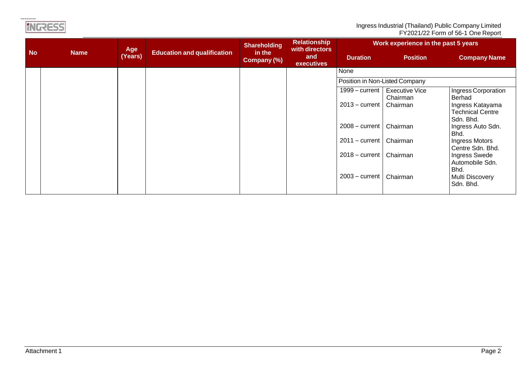| Ingress Industrial (Thailand) Public Company Limited |
|------------------------------------------------------|
| FY2021/22 Form of 56-1 One Report                    |

|           |             | Age     |                                    | <b>Shareholding</b>   | <b>Relationship</b><br>with directors | Work experience in the past 5 years |                                   |                                                          |  |
|-----------|-------------|---------|------------------------------------|-----------------------|---------------------------------------|-------------------------------------|-----------------------------------|----------------------------------------------------------|--|
| <b>No</b> | <b>Name</b> | (Years) | <b>Education and qualification</b> | in the<br>Company (%) | and<br><b>executives</b>              | <b>Duration</b>                     | <b>Position</b>                   | <b>Company Name</b>                                      |  |
|           |             |         |                                    |                       |                                       | None                                |                                   |                                                          |  |
|           |             |         |                                    |                       |                                       | Position in Non-Listed Company      |                                   |                                                          |  |
|           |             |         |                                    |                       |                                       | $1999 - current$                    | <b>Executive Vice</b><br>Chairman | Ingress Corporation<br>Berhad                            |  |
|           |             |         |                                    |                       |                                       | $2013 - current$                    | Chairman                          | Ingress Katayama<br><b>Technical Centre</b><br>Sdn. Bhd. |  |
|           |             |         |                                    |                       |                                       | $2008 - current$                    | Chairman                          | Ingress Auto Sdn.<br>Bhd.                                |  |
|           |             |         |                                    |                       |                                       | $2011 - current$                    | Chairman                          | Ingress Motors<br>Centre Sdn. Bhd.                       |  |
|           |             |         |                                    |                       |                                       | $2018 - current$                    | Chairman                          | Ingress Swede<br>Automobile Sdn.<br>Bhd.                 |  |
|           |             |         |                                    |                       |                                       | $2003 - current$                    | Chairman                          | <b>Multi Discovery</b><br>Sdn. Bhd.                      |  |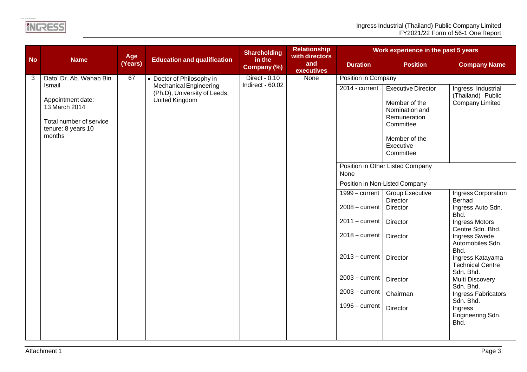|           |                                                                                                         | Age     |                                                                                        | <b>Shareholding</b>               | <b>Relationship</b><br>with directors | Work experience in the past 5 years |                                                                                                            |                                                                   |  |  |  |
|-----------|---------------------------------------------------------------------------------------------------------|---------|----------------------------------------------------------------------------------------|-----------------------------------|---------------------------------------|-------------------------------------|------------------------------------------------------------------------------------------------------------|-------------------------------------------------------------------|--|--|--|
| <b>No</b> | <b>Name</b>                                                                                             | (Years) | <b>Education and qualification</b>                                                     | in the<br><b>Company (%)</b>      | and<br>executives                     | <b>Duration</b>                     | <b>Position</b>                                                                                            | <b>Company Name</b>                                               |  |  |  |
| 3         | Dato' Dr. Ab. Wahab Bin                                                                                 | 67      | • Doctor of Philosophy in                                                              | Direct - 0.10<br>Indirect - 60.02 | None                                  | Position in Company                 |                                                                                                            |                                                                   |  |  |  |
|           | Ismail<br>Appointment date:<br>13 March 2014<br>Total number of service<br>tenure: 8 years 10<br>months |         | <b>Mechanical Engineering</b><br>(Ph.D), University of Leeds,<br><b>United Kingdom</b> |                                   |                                       | 2014 - current                      | <b>Executive Director</b><br>Member of the<br>Nomination and<br>Remuneration<br>Committee<br>Member of the | Ingress Industrial<br>(Thailand) Public<br><b>Company Limited</b> |  |  |  |
|           |                                                                                                         |         |                                                                                        |                                   |                                       |                                     | Executive<br>Committee                                                                                     |                                                                   |  |  |  |
|           |                                                                                                         |         |                                                                                        |                                   |                                       |                                     | Position in Other Listed Company                                                                           |                                                                   |  |  |  |
|           |                                                                                                         |         |                                                                                        |                                   |                                       | None                                |                                                                                                            |                                                                   |  |  |  |
|           |                                                                                                         |         |                                                                                        |                                   |                                       | Position in Non-Listed Company      |                                                                                                            |                                                                   |  |  |  |
|           |                                                                                                         |         |                                                                                        |                                   |                                       | $1999 - current$                    | <b>Group Executive</b><br>Director                                                                         | Ingress Corporation<br><b>Berhad</b>                              |  |  |  |
|           |                                                                                                         |         |                                                                                        |                                   |                                       | 2008 - current                      | Director                                                                                                   | Ingress Auto Sdn.<br>Bhd.                                         |  |  |  |
|           |                                                                                                         |         |                                                                                        |                                   |                                       | $2011 - current$                    | Director                                                                                                   | <b>Ingress Motors</b><br>Centre Sdn. Bhd.                         |  |  |  |
|           |                                                                                                         |         |                                                                                        |                                   |                                       | $2018 - current$                    | Director                                                                                                   | Ingress Swede<br>Automobiles Sdn.<br>Bhd.                         |  |  |  |
|           |                                                                                                         |         |                                                                                        |                                   |                                       | $2013 - current$                    | <b>Director</b>                                                                                            | Ingress Katayama<br><b>Technical Centre</b><br>Sdn. Bhd.          |  |  |  |
|           |                                                                                                         |         |                                                                                        |                                   |                                       | 2003 - current                      | Director                                                                                                   | Multi Discovery<br>Sdn. Bhd.                                      |  |  |  |
|           |                                                                                                         |         |                                                                                        |                                   |                                       | $2003$ – current                    | Chairman                                                                                                   | Ingress Fabricators<br>Sdn. Bhd.                                  |  |  |  |
|           |                                                                                                         |         |                                                                                        |                                   |                                       | $1996 - current$                    | Director                                                                                                   | Ingress<br>Engineering Sdn.<br>Bhd.                               |  |  |  |
|           |                                                                                                         |         |                                                                                        |                                   |                                       |                                     |                                                                                                            |                                                                   |  |  |  |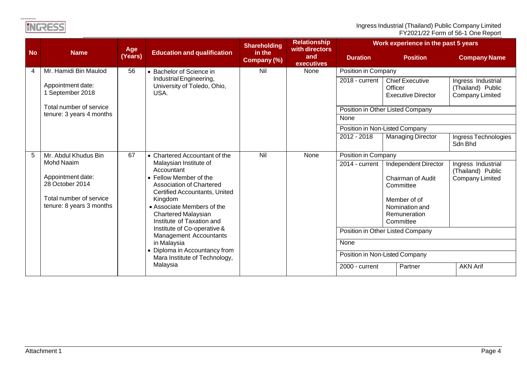Ingress Industrial (Thailand) Public Company Limited FY2021/22 Form of 56-1 One Report

|           |                                                                                                                  | Age     |                                                                                                                                                                                                                                                                                                                                                                                         | <b>Shareholding</b>   | <b>Relationship</b><br>with directors |                        | Work experience in the past 5 years                                                                                                                                                         |                                                                   |  |  |
|-----------|------------------------------------------------------------------------------------------------------------------|---------|-----------------------------------------------------------------------------------------------------------------------------------------------------------------------------------------------------------------------------------------------------------------------------------------------------------------------------------------------------------------------------------------|-----------------------|---------------------------------------|------------------------|---------------------------------------------------------------------------------------------------------------------------------------------------------------------------------------------|-------------------------------------------------------------------|--|--|
| <b>No</b> | <b>Name</b>                                                                                                      | (Years) | <b>Education and qualification</b>                                                                                                                                                                                                                                                                                                                                                      | in the<br>Company (%) | and<br><b>executives</b>              | <b>Duration</b>        | <b>Position</b>                                                                                                                                                                             | <b>Company Name</b>                                               |  |  |
| 4         | Mr. Hamidi Bin Maulod                                                                                            | 56      | • Bachelor of Science in                                                                                                                                                                                                                                                                                                                                                                | Nil                   | None                                  | Position in Company    |                                                                                                                                                                                             |                                                                   |  |  |
|           | Appointment date:<br>1 September 2018                                                                            |         | Industrial Engineering,<br>University of Toledo, Ohio,<br>USA.                                                                                                                                                                                                                                                                                                                          |                       |                                       | $2018 - current$       | <b>Chief Executive</b><br>Officer<br><b>Executive Director</b>                                                                                                                              | Ingress Industrial<br>(Thailand) Public<br><b>Company Limited</b> |  |  |
|           | Total number of service<br>tenure: 3 years 4 months                                                              |         |                                                                                                                                                                                                                                                                                                                                                                                         |                       |                                       |                        | Position in Other Listed Company                                                                                                                                                            |                                                                   |  |  |
|           |                                                                                                                  |         |                                                                                                                                                                                                                                                                                                                                                                                         |                       |                                       | None                   |                                                                                                                                                                                             |                                                                   |  |  |
|           |                                                                                                                  |         |                                                                                                                                                                                                                                                                                                                                                                                         |                       |                                       |                        | Position in Non-Listed Company                                                                                                                                                              |                                                                   |  |  |
|           |                                                                                                                  |         |                                                                                                                                                                                                                                                                                                                                                                                         |                       |                                       | 2012 - 2018            | <b>Managing Director</b>                                                                                                                                                                    | Ingress Technologies<br>Sdn Bhd                                   |  |  |
| 5         | Mr. Abdul Khudus Bin                                                                                             | 67      | • Chartered Accountant of the                                                                                                                                                                                                                                                                                                                                                           | Nil                   | None                                  | Position in Company    |                                                                                                                                                                                             |                                                                   |  |  |
|           | <b>Mohd Naaim</b><br>Appointment date:<br>28 October 2014<br>Total number of service<br>tenure: 8 years 3 months |         | Malaysian Institute of<br>Accountant<br>• Fellow Member of the<br><b>Association of Chartered</b><br>Certified Accountants, United<br>Kingdom<br>• Associate Members of the<br><b>Chartered Malaysian</b><br>Institute of Taxation and<br>Institute of Co-operative &<br><b>Management Accountants</b><br>in Malaysia<br>• Diploma in Accountancy from<br>Mara Institute of Technology, |                       |                                       | 2014 - current<br>None | Independent Director<br>Chairman of Audit<br>Committee<br>Member of of<br>Nomination and<br>Remuneration<br>Committee<br>Position in Other Listed Company<br>Position in Non-Listed Company | Ingress Industrial<br>(Thailand) Public<br><b>Company Limited</b> |  |  |
|           |                                                                                                                  |         | Malaysia                                                                                                                                                                                                                                                                                                                                                                                |                       |                                       | 2000 - current         | Partner                                                                                                                                                                                     | <b>AKN Arif</b>                                                   |  |  |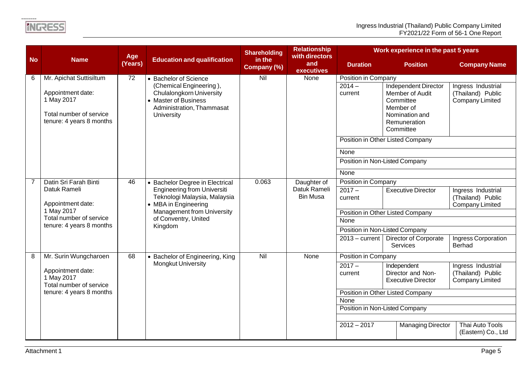|                |                                                                                                        | Age                       |                                                                                                                                                                    | <b>Shareholding</b>   | <b>Relationship</b><br>with directors |                                  | Work experience in the past 5 years                                                                                                |                                                                   |  |  |
|----------------|--------------------------------------------------------------------------------------------------------|---------------------------|--------------------------------------------------------------------------------------------------------------------------------------------------------------------|-----------------------|---------------------------------------|----------------------------------|------------------------------------------------------------------------------------------------------------------------------------|-------------------------------------------------------------------|--|--|
| <b>No</b>      | <b>Name</b>                                                                                            | (Years)                   | <b>Education and qualification</b>                                                                                                                                 | in the<br>Company (%) | and<br>executives                     | <b>Duration</b>                  | <b>Position</b>                                                                                                                    | <b>Company Name</b>                                               |  |  |
| 6              | Mr. Apichat Suttisiltum                                                                                | $\overline{72}$           | • Bachelor of Science                                                                                                                                              | Nil                   | None                                  | Position in Company              |                                                                                                                                    |                                                                   |  |  |
|                | Appointment date:<br>1 May 2017<br>Total number of service<br>tenure: 4 years 8 months                 |                           | (Chemical Engineering),<br><b>Chulalongkorn University</b><br>• Master of Business<br>Administration, Thammasat<br>University                                      |                       |                                       | $2014 -$<br>current              | Independent Director<br>Member of Audit<br>Committee<br>Member of<br>Nomination and<br>Remuneration<br>Committee                   | Ingress Industrial<br>(Thailand) Public<br><b>Company Limited</b> |  |  |
|                |                                                                                                        |                           |                                                                                                                                                                    |                       |                                       | Position in Other Listed Company |                                                                                                                                    |                                                                   |  |  |
|                |                                                                                                        |                           |                                                                                                                                                                    |                       |                                       | None                             |                                                                                                                                    |                                                                   |  |  |
|                |                                                                                                        |                           |                                                                                                                                                                    |                       |                                       | Position in Non-Listed Company   |                                                                                                                                    |                                                                   |  |  |
|                |                                                                                                        |                           |                                                                                                                                                                    |                       |                                       | None                             |                                                                                                                                    |                                                                   |  |  |
| $\overline{7}$ | Datin Sri Farah Binti                                                                                  | 46                        | • Bachelor Degree in Electrical                                                                                                                                    | 0.063                 | Daughter of                           | Position in Company              |                                                                                                                                    |                                                                   |  |  |
|                | Datuk Rameli<br>Appointment date:<br>1 May 2017<br>Total number of service<br>tenure: 4 years 8 months |                           | <b>Engineering from Universiti</b><br>Teknologi Malaysia, Malaysia<br>• MBA in Engineering<br><b>Management from University</b><br>of Conventry, United<br>Kingdom |                       | Datuk Rameli<br><b>Bin Musa</b>       | $2017 -$<br>current              | <b>Executive Director</b>                                                                                                          | Ingress Industrial<br>(Thailand) Public<br><b>Company Limited</b> |  |  |
|                |                                                                                                        |                           |                                                                                                                                                                    |                       |                                       | Position in Other Listed Company |                                                                                                                                    |                                                                   |  |  |
|                |                                                                                                        |                           |                                                                                                                                                                    |                       |                                       | None                             |                                                                                                                                    |                                                                   |  |  |
|                |                                                                                                        |                           |                                                                                                                                                                    |                       |                                       | Position in Non-Listed Company   |                                                                                                                                    |                                                                   |  |  |
|                |                                                                                                        |                           |                                                                                                                                                                    |                       |                                       | $2013 - current$                 | <b>Director of Corporate</b><br><b>Services</b>                                                                                    | Ingress Corporation<br>Berhad                                     |  |  |
| 8              | Mr. Surin Wungcharoen                                                                                  | 68                        | • Bachelor of Engineering, King                                                                                                                                    | Nil                   | None                                  | Position in Company              |                                                                                                                                    |                                                                   |  |  |
|                | Appointment date:<br>1 May 2017<br>Total number of service                                             | <b>Mongkut University</b> |                                                                                                                                                                    |                       |                                       | $2017 -$<br>current              | Ingress Industrial<br>Independent<br>Director and Non-<br>(Thailand) Public<br><b>Executive Director</b><br><b>Company Limited</b> |                                                                   |  |  |
|                | tenure: 4 years 8 months                                                                               |                           |                                                                                                                                                                    |                       |                                       | Position in Other Listed Company |                                                                                                                                    |                                                                   |  |  |
|                |                                                                                                        |                           |                                                                                                                                                                    |                       |                                       | None                             |                                                                                                                                    |                                                                   |  |  |
|                |                                                                                                        |                           |                                                                                                                                                                    |                       |                                       |                                  | Position in Non-Listed Company                                                                                                     |                                                                   |  |  |
|                |                                                                                                        |                           |                                                                                                                                                                    |                       |                                       | $2012 - 2017$                    | <b>Managing Director</b>                                                                                                           | Thai Auto Tools                                                   |  |  |
|                |                                                                                                        |                           |                                                                                                                                                                    |                       |                                       |                                  |                                                                                                                                    | (Eastern) Co., Ltd                                                |  |  |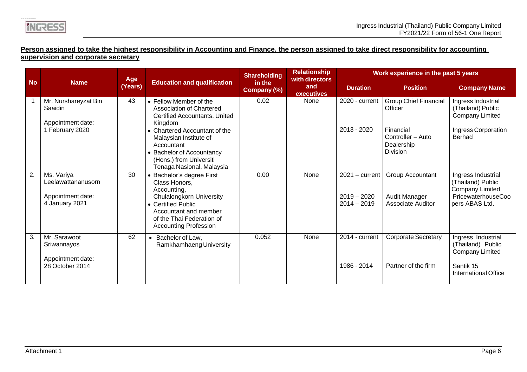## **Person assigned to take the highest responsibility in Accounting and Finance, the person assigned to take direct responsibility for accounting supervision and corporate secretary**

|           |                                                                         | Age                                           |                                                                                                                                                                                                                                                              | <b>Shareholding</b>   | <b>Relationship</b><br>with directors | Work experience in the past 5 years                |                                                                                                            |                                                                                                           |  |  |
|-----------|-------------------------------------------------------------------------|-----------------------------------------------|--------------------------------------------------------------------------------------------------------------------------------------------------------------------------------------------------------------------------------------------------------------|-----------------------|---------------------------------------|----------------------------------------------------|------------------------------------------------------------------------------------------------------------|-----------------------------------------------------------------------------------------------------------|--|--|
| <b>No</b> | <b>Name</b>                                                             | <b>Education and qualification</b><br>(Years) |                                                                                                                                                                                                                                                              | in the<br>Company (%) | and<br>executives                     | <b>Duration</b>                                    | <b>Position</b>                                                                                            | <b>Company Name</b>                                                                                       |  |  |
|           | Mr. Nurshareyzat Bin<br>Saaidin<br>Appointment date:<br>1 February 2020 | 43                                            | • Fellow Member of the<br>Association of Chartered<br>Certified Accountants, United<br>Kingdom<br>• Chartered Accountant of the<br>Malaysian Institute of<br>Accountant<br>• Bachelor of Accountancy<br>(Hons.) from Universiti<br>Tenaga Nasional, Malaysia | 0.02                  | None                                  | 2020 - current<br>2013 - 2020                      | <b>Group Chief Financial</b><br>Officer<br>Financial<br>Controller - Auto<br>Dealership<br><b>Division</b> | Ingress Industrial<br>(Thailand) Public<br><b>Company Limited</b><br>Ingress Corporation<br>Berhad        |  |  |
| 2.        | Ms. Variya<br>Leelawattananusorn<br>Appointment date:<br>4 January 2021 | 30                                            | • Bachelor's degree First<br>Class Honors.<br>Accounting,<br><b>Chulalongkorn University</b><br>• Certified Public<br>Accountant and member<br>of the Thai Federation of<br><b>Accounting Profession</b>                                                     | 0.00                  | None                                  | $2021 - current$<br>$2019 - 2020$<br>$2014 - 2019$ | Group Accountant<br>Audit Manager<br><b>Associate Auditor</b>                                              | Ingress Industrial<br>(Thailand) Public<br><b>Company Limited</b><br>PricewaterhouseCoo<br>pers ABAS Ltd. |  |  |
| 3.        | Mr. Sarawoot<br>Sriwannayos<br>Appointment date:<br>28 October 2014     | 62                                            | Bachelor of Law,<br>$\bullet$<br>Ramkhamhaeng University                                                                                                                                                                                                     | 0.052                 | None                                  | 2014 - current<br>1986 - 2014                      | <b>Corporate Secretary</b><br>Partner of the firm                                                          | Ingress Industrial<br>(Thailand) Public<br>Company Limited<br>Santik 15<br>International Office           |  |  |